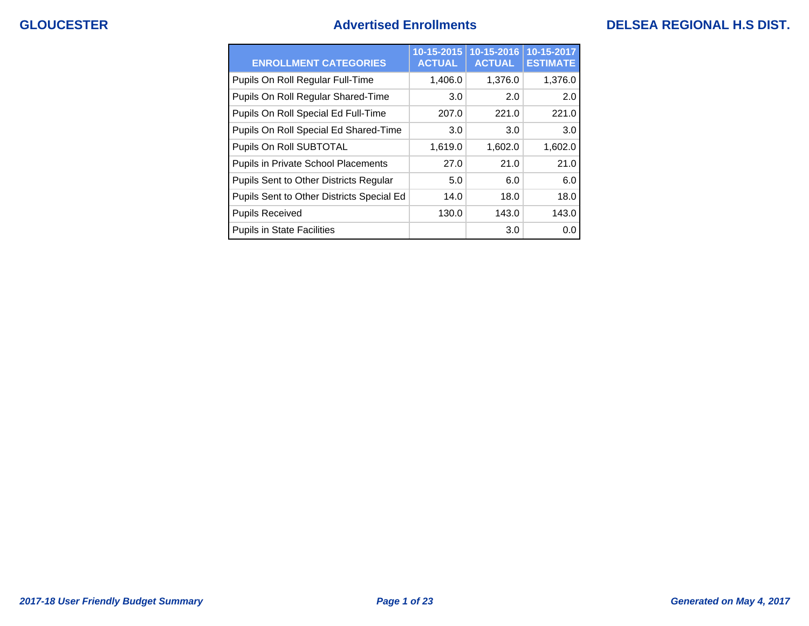## **GLOUCESTER Advertised Enrollments DELSEA REGIONAL H.S DIST.**

| <b>ENROLLMENT CATEGORIES</b>              | 10-15-2015<br><b>ACTUAL</b> | 10-15-2016<br><b>ACTUAL</b> | 10-15-2017<br><b>ESTIMATE</b> |
|-------------------------------------------|-----------------------------|-----------------------------|-------------------------------|
| Pupils On Roll Regular Full-Time          | 1,406.0                     | 1,376.0                     | 1,376.0                       |
| Pupils On Roll Regular Shared-Time        | 3.0                         | 2.0                         | 2.0                           |
| Pupils On Roll Special Ed Full-Time       | 207.0                       | 221.0                       | 221.0                         |
| Pupils On Roll Special Ed Shared-Time     | 3.0                         | 3.0                         | 3.0                           |
| Pupils On Roll SUBTOTAL                   | 1,619.0                     | 1,602.0                     | 1,602.0                       |
| Pupils in Private School Placements       | 27.0                        | 21.0                        | 21.0                          |
| Pupils Sent to Other Districts Regular    | 5.0                         | 6.0                         | 6.0                           |
| Pupils Sent to Other Districts Special Ed | 14.0                        | 18.0                        | 18.0                          |
| <b>Pupils Received</b>                    | 130.0                       | 143.0                       | 143.0                         |
| <b>Pupils in State Facilities</b>         |                             | 3.0                         | 0.0                           |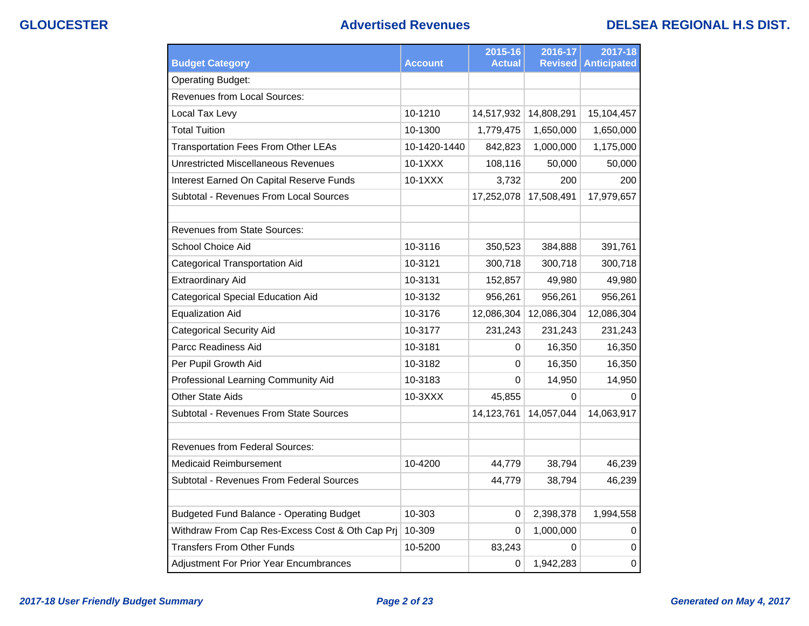## **GLOUCESTER Advertised Revenues DELSEA REGIONAL H.S DIST.**

|                                                 |                | 2015-16       | 2016-17        | 2017-18            |
|-------------------------------------------------|----------------|---------------|----------------|--------------------|
| <b>Budget Category</b>                          | <b>Account</b> | <b>Actual</b> | <b>Revised</b> | <b>Anticipated</b> |
| <b>Operating Budget:</b>                        |                |               |                |                    |
| <b>Revenues from Local Sources:</b>             |                |               |                |                    |
| Local Tax Levy                                  | 10-1210        | 14,517,932    | 14,808,291     | 15,104,457         |
| <b>Total Tuition</b>                            | 10-1300        | 1,779,475     | 1,650,000      | 1,650,000          |
| <b>Transportation Fees From Other LEAs</b>      | 10-1420-1440   | 842,823       | 1,000,000      | 1,175,000          |
| <b>Unrestricted Miscellaneous Revenues</b>      | $10-1XXX$      | 108,116       | 50,000         | 50,000             |
| Interest Earned On Capital Reserve Funds        | $10-1XXX$      | 3,732         | 200            | 200                |
| Subtotal - Revenues From Local Sources          |                | 17,252,078    | 17,508,491     | 17,979,657         |
|                                                 |                |               |                |                    |
| <b>Revenues from State Sources:</b>             |                |               |                |                    |
| School Choice Aid                               | 10-3116        | 350,523       | 384,888        | 391,761            |
| <b>Categorical Transportation Aid</b>           | 10-3121        | 300,718       | 300,718        | 300,718            |
| <b>Extraordinary Aid</b>                        | 10-3131        | 152,857       | 49,980         | 49,980             |
| Categorical Special Education Aid               | 10-3132        | 956,261       | 956,261        | 956,261            |
| <b>Equalization Aid</b>                         | 10-3176        | 12,086,304    | 12,086,304     | 12,086,304         |
| <b>Categorical Security Aid</b>                 | 10-3177        | 231,243       | 231,243        | 231,243            |
| Parcc Readiness Aid                             | 10-3181        | 0             | 16,350         | 16,350             |
| Per Pupil Growth Aid                            | 10-3182        | 0             | 16,350         | 16,350             |
| Professional Learning Community Aid             | 10-3183        | 0             | 14,950         | 14,950             |
| Other State Aids                                | 10-3XXX        | 45,855        | 0              | 0                  |
| Subtotal - Revenues From State Sources          |                | 14,123,761    | 14,057,044     | 14,063,917         |
|                                                 |                |               |                |                    |
| <b>Revenues from Federal Sources:</b>           |                |               |                |                    |
| Medicaid Reimbursement                          | 10-4200        | 44,779        | 38,794         | 46,239             |
| Subtotal - Revenues From Federal Sources        |                | 44,779        | 38,794         | 46,239             |
|                                                 |                |               |                |                    |
| <b>Budgeted Fund Balance - Operating Budget</b> | 10-303         | 0             | 2,398,378      | 1,994,558          |
| Withdraw From Cap Res-Excess Cost & Oth Cap Prj | 10-309         | $\Omega$      | 1,000,000      | 0                  |
| <b>Transfers From Other Funds</b>               | 10-5200        | 83,243        | 0              | $\Omega$           |
| Adjustment For Prior Year Encumbrances          |                | 0             | 1,942,283      | $\pmb{0}$          |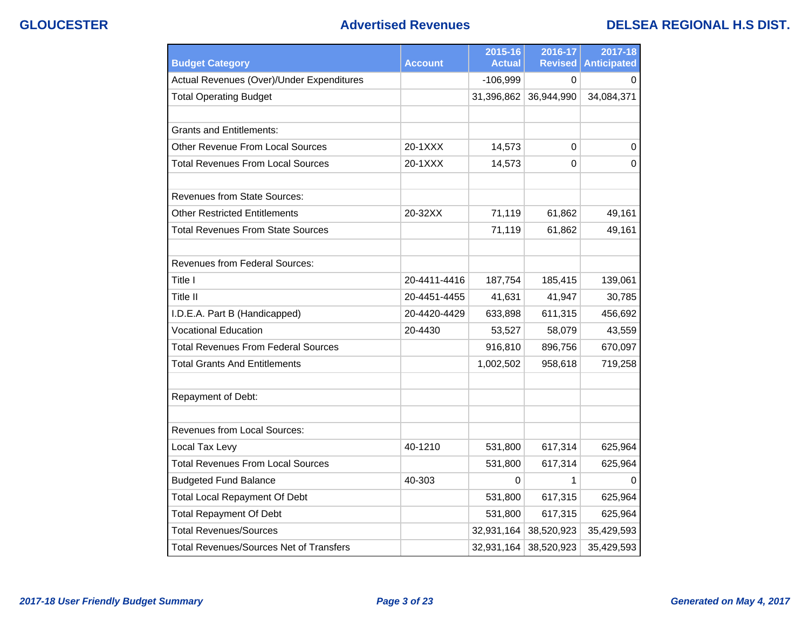### **GLOUCESTER Advertised Revenues DELSEA REGIONAL H.S DIST.**

| <b>Budget Category</b>                         | <b>Account</b> | 2015-16<br><b>Actual</b> | 2016-17<br><b>Revised</b> | 2017-18<br><b>Anticipated</b> |
|------------------------------------------------|----------------|--------------------------|---------------------------|-------------------------------|
| Actual Revenues (Over)/Under Expenditures      |                | $-106,999$               | 0                         | 0                             |
| <b>Total Operating Budget</b>                  |                | 31,396,862               | 36,944,990                | 34,084,371                    |
|                                                |                |                          |                           |                               |
| <b>Grants and Entitlements:</b>                |                |                          |                           |                               |
| <b>Other Revenue From Local Sources</b>        | 20-1XXX        | 14,573                   | 0                         | 0                             |
| <b>Total Revenues From Local Sources</b>       | 20-1XXX        | 14,573                   | $\Omega$                  | $\Omega$                      |
| <b>Revenues from State Sources:</b>            |                |                          |                           |                               |
| Other Restricted Entitlements                  | 20-32XX        | 71,119                   | 61,862                    | 49,161                        |
| <b>Total Revenues From State Sources</b>       |                | 71,119                   | 61,862                    | 49,161                        |
| <b>Revenues from Federal Sources:</b>          |                |                          |                           |                               |
| Title I                                        | 20-4411-4416   | 187,754                  | 185,415                   | 139,061                       |
| Title II                                       | 20-4451-4455   | 41,631                   | 41,947                    | 30,785                        |
| I.D.E.A. Part B (Handicapped)                  | 20-4420-4429   | 633,898                  | 611,315                   | 456,692                       |
| <b>Vocational Education</b>                    | 20-4430        | 53,527                   | 58,079                    | 43,559                        |
| Total Revenues From Federal Sources            |                | 916,810                  | 896,756                   | 670,097                       |
| <b>Total Grants And Entitlements</b>           |                | 1,002,502                | 958,618                   | 719,258                       |
| Repayment of Debt:                             |                |                          |                           |                               |
| <b>Revenues from Local Sources:</b>            |                |                          |                           |                               |
| Local Tax Levy                                 | 40-1210        | 531,800                  | 617,314                   | 625,964                       |
| <b>Total Revenues From Local Sources</b>       |                | 531,800                  | 617,314                   | 625,964                       |
| <b>Budgeted Fund Balance</b>                   | 40-303         | 0                        | 1                         | $\Omega$                      |
| <b>Total Local Repayment Of Debt</b>           |                | 531,800                  | 617,315                   | 625,964                       |
| <b>Total Repayment Of Debt</b>                 |                | 531,800                  | 617,315                   | 625,964                       |
| <b>Total Revenues/Sources</b>                  |                | 32,931,164               | 38,520,923                | 35,429,593                    |
| <b>Total Revenues/Sources Net of Transfers</b> |                | 32,931,164               | 38,520,923                | 35,429,593                    |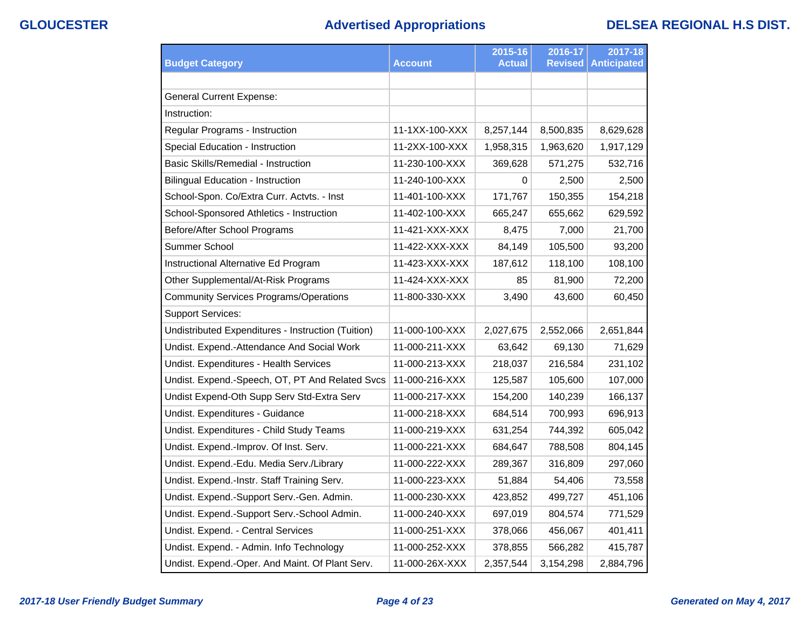# **GLOUCESTER Advertised Appropriations DELSEA REGIONAL H.S DIST.**

|                                                    |                | 2015-16       | 2016-17        | 2017-18            |
|----------------------------------------------------|----------------|---------------|----------------|--------------------|
| <b>Budget Category</b>                             | <b>Account</b> | <b>Actual</b> | <b>Revised</b> | <b>Anticipated</b> |
|                                                    |                |               |                |                    |
| <b>General Current Expense:</b>                    |                |               |                |                    |
| Instruction:                                       |                |               |                |                    |
| Regular Programs - Instruction                     | 11-1XX-100-XXX | 8,257,144     | 8,500,835      | 8,629,628          |
| Special Education - Instruction                    | 11-2XX-100-XXX | 1,958,315     | 1,963,620      | 1,917,129          |
| <b>Basic Skills/Remedial - Instruction</b>         | 11-230-100-XXX | 369,628       | 571,275        | 532,716            |
| <b>Bilingual Education - Instruction</b>           | 11-240-100-XXX | 0             | 2,500          | 2,500              |
| School-Spon. Co/Extra Curr. Actvts. - Inst         | 11-401-100-XXX | 171,767       | 150,355        | 154,218            |
| School-Sponsored Athletics - Instruction           | 11-402-100-XXX | 665,247       | 655,662        | 629,592            |
| Before/After School Programs                       | 11-421-XXX-XXX | 8,475         | 7,000          | 21,700             |
| Summer School                                      | 11-422-XXX-XXX | 84,149        | 105,500        | 93,200             |
| Instructional Alternative Ed Program               | 11-423-XXX-XXX | 187,612       | 118,100        | 108,100            |
| Other Supplemental/At-Risk Programs                | 11-424-XXX-XXX | 85            | 81,900         | 72,200             |
| <b>Community Services Programs/Operations</b>      | 11-800-330-XXX | 3,490         | 43,600         | 60,450             |
| <b>Support Services:</b>                           |                |               |                |                    |
| Undistributed Expenditures - Instruction (Tuition) | 11-000-100-XXX | 2,027,675     | 2,552,066      | 2,651,844          |
| Undist. Expend.-Attendance And Social Work         | 11-000-211-XXX | 63,642        | 69,130         | 71,629             |
| Undist. Expenditures - Health Services             | 11-000-213-XXX | 218,037       | 216,584        | 231,102            |
| Undist. Expend.-Speech, OT, PT And Related Svcs    | 11-000-216-XXX | 125,587       | 105,600        | 107,000            |
| Undist Expend-Oth Supp Serv Std-Extra Serv         | 11-000-217-XXX | 154,200       | 140,239        | 166,137            |
| Undist. Expenditures - Guidance                    | 11-000-218-XXX | 684,514       | 700,993        | 696,913            |
| Undist. Expenditures - Child Study Teams           | 11-000-219-XXX | 631,254       | 744,392        | 605,042            |
| Undist. Expend.-Improv. Of Inst. Serv.             | 11-000-221-XXX | 684,647       | 788,508        | 804,145            |
| Undist. Expend.-Edu. Media Serv./Library           | 11-000-222-XXX | 289,367       | 316,809        | 297,060            |
| Undist. Expend.-Instr. Staff Training Serv.        | 11-000-223-XXX | 51,884        | 54,406         | 73,558             |
| Undist. Expend.-Support Serv.-Gen. Admin.          | 11-000-230-XXX | 423,852       | 499,727        | 451,106            |
| Undist. Expend.-Support Serv.-School Admin.        | 11-000-240-XXX | 697,019       | 804,574        | 771,529            |
| Undist. Expend. - Central Services                 | 11-000-251-XXX | 378,066       | 456,067        | 401,411            |
| Undist. Expend. - Admin. Info Technology           | 11-000-252-XXX | 378,855       | 566,282        | 415,787            |
| Undist. Expend.-Oper. And Maint. Of Plant Serv.    | 11-000-26X-XXX | 2,357,544     | 3,154,298      | 2,884,796          |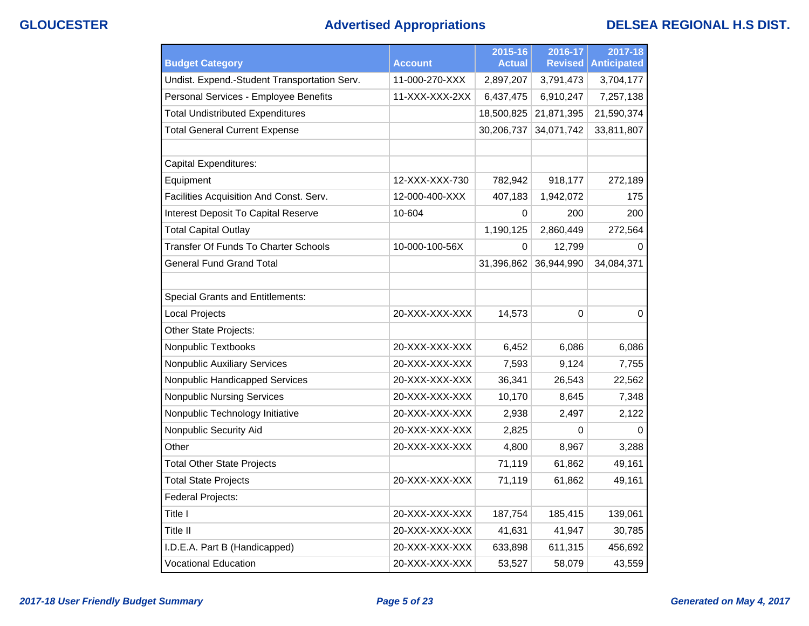# **GLOUCESTER Advertised Appropriations DELSEA REGIONAL H.S DIST.**

| <b>Budget Category</b>                       | <b>Account</b> | 2015-16<br><b>Actual</b> | 2016-17<br><b>Revised</b> | 2017-18<br><b>Anticipated</b> |
|----------------------------------------------|----------------|--------------------------|---------------------------|-------------------------------|
| Undist. Expend.-Student Transportation Serv. | 11-000-270-XXX | 2,897,207                | 3,791,473                 | 3,704,177                     |
| Personal Services - Employee Benefits        | 11-XXX-XXX-2XX | 6,437,475                | 6,910,247                 | 7,257,138                     |
| <b>Total Undistributed Expenditures</b>      |                | 18,500,825               | 21,871,395                | 21,590,374                    |
| <b>Total General Current Expense</b>         |                | 30,206,737               | 34,071,742                | 33,811,807                    |
|                                              |                |                          |                           |                               |
| <b>Capital Expenditures:</b>                 |                |                          |                           |                               |
| Equipment                                    | 12-XXX-XXX-730 | 782,942                  | 918,177                   | 272,189                       |
| Facilities Acquisition And Const. Serv.      | 12-000-400-XXX | 407,183                  | 1,942,072                 | 175                           |
| Interest Deposit To Capital Reserve          | 10-604         | 0                        | 200                       | 200                           |
| <b>Total Capital Outlay</b>                  |                | 1,190,125                | 2,860,449                 | 272,564                       |
| Transfer Of Funds To Charter Schools         | 10-000-100-56X | $\Omega$                 | 12,799                    | 0                             |
| <b>General Fund Grand Total</b>              |                | 31,396,862               | 36,944,990                | 34,084,371                    |
|                                              |                |                          |                           |                               |
| <b>Special Grants and Entitlements:</b>      |                |                          |                           |                               |
| <b>Local Projects</b>                        | 20-XXX-XXX-XXX | 14,573                   | 0                         | $\mathbf 0$                   |
| Other State Projects:                        |                |                          |                           |                               |
| Nonpublic Textbooks                          | 20-XXX-XXX-XXX | 6,452                    | 6,086                     | 6,086                         |
| <b>Nonpublic Auxiliary Services</b>          | 20-XXX-XXX-XXX | 7,593                    | 9,124                     | 7,755                         |
| Nonpublic Handicapped Services               | 20-XXX-XXX-XXX | 36,341                   | 26,543                    | 22,562                        |
| <b>Nonpublic Nursing Services</b>            | 20-XXX-XXX-XXX | 10,170                   | 8,645                     | 7,348                         |
| Nonpublic Technology Initiative              | 20-XXX-XXX-XXX | 2,938                    | 2,497                     | 2,122                         |
| Nonpublic Security Aid                       | 20-XXX-XXX-XXX | 2,825                    | 0                         | $\Omega$                      |
| Other                                        | 20-XXX-XXX-XXX | 4,800                    | 8,967                     | 3,288                         |
| <b>Total Other State Projects</b>            |                | 71,119                   | 61,862                    | 49,161                        |
| <b>Total State Projects</b>                  | 20-XXX-XXX-XXX | 71,119                   | 61,862                    | 49,161                        |
| Federal Projects:                            |                |                          |                           |                               |
| Title I                                      | 20-XXX-XXX-XXX | 187,754                  | 185,415                   | 139,061                       |
| Title II                                     | 20-XXX-XXX-XXX | 41,631                   | 41,947                    | 30,785                        |
| I.D.E.A. Part B (Handicapped)                | 20-XXX-XXX-XXX | 633,898                  | 611,315                   | 456,692                       |
| <b>Vocational Education</b>                  | 20-XXX-XXX-XXX | 53,527                   | 58,079                    | 43,559                        |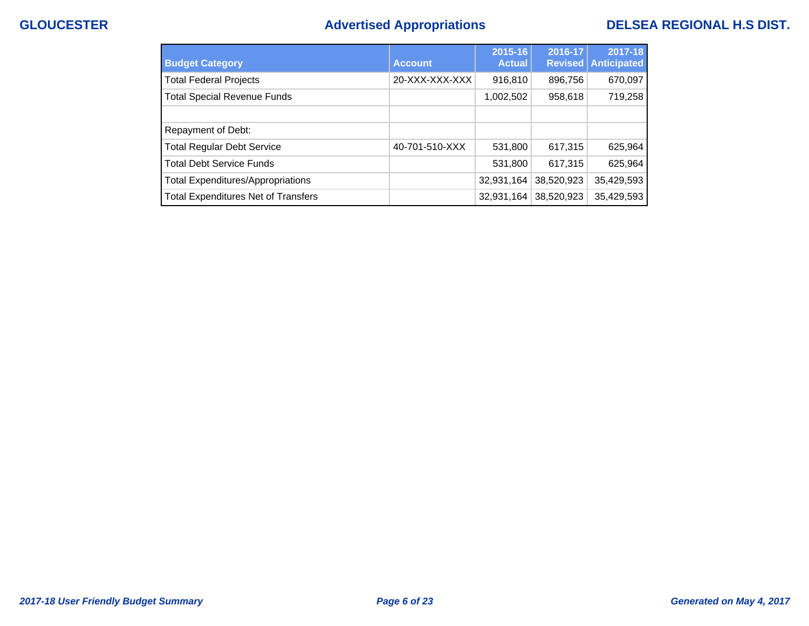# **GLOUCESTER Advertised Appropriations DELSEA REGIONAL H.S DIST.**

| <b>Budget Category</b>                     | <b>Account</b> | $2015 - 16$<br><b>Actual</b> | 2016-17<br>Revised | 2017-18<br><b>Anticipated</b> |
|--------------------------------------------|----------------|------------------------------|--------------------|-------------------------------|
| <b>Total Federal Projects</b>              | 20-XXX-XXX-XXX | 916,810                      | 896,756            | 670,097                       |
| <b>Total Special Revenue Funds</b>         |                | 1,002,502                    | 958,618            | 719,258                       |
|                                            |                |                              |                    |                               |
| Repayment of Debt:                         |                |                              |                    |                               |
| <b>Total Regular Debt Service</b>          | 40-701-510-XXX | 531,800                      | 617,315            | 625,964                       |
| <b>Total Debt Service Funds</b>            |                | 531,800                      | 617,315            | 625,964                       |
| <b>Total Expenditures/Appropriations</b>   |                | 32,931,164                   | 38,520,923         | 35,429,593                    |
| <b>Total Expenditures Net of Transfers</b> |                | 32,931,164                   | 38,520,923         | 35,429,593                    |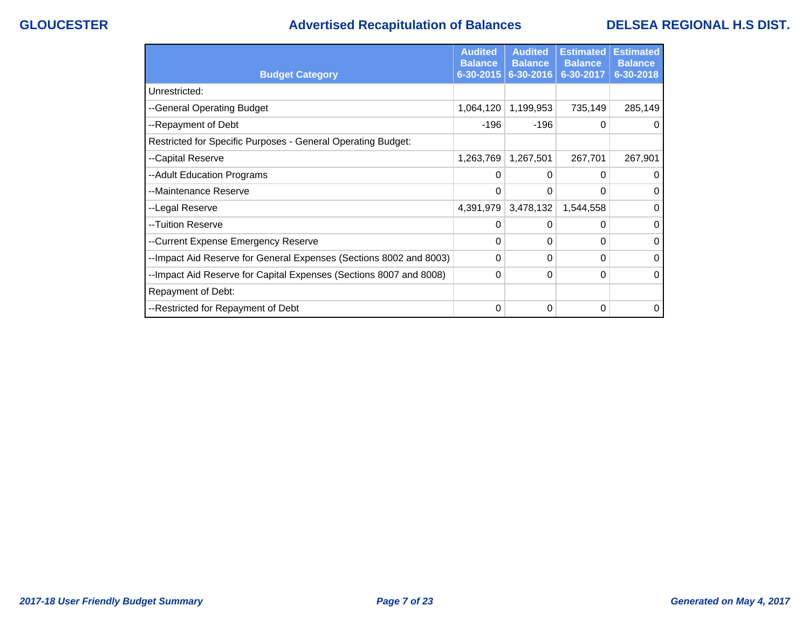# **GLOUCESTER Advertised Recapitulation of Balances DELSEA REGIONAL H.S DIST.**

|                                                                     | <b>Audited</b><br><b>Balance</b> | <b>Audited</b><br><b>Balance</b> | <b>Estimated</b><br><b>Balance</b> | <b>Estimated</b><br><b>Balance</b> |
|---------------------------------------------------------------------|----------------------------------|----------------------------------|------------------------------------|------------------------------------|
| <b>Budget Category</b>                                              | 6-30-2015                        | 6-30-2016                        | 6-30-2017                          | 6-30-2018                          |
| Unrestricted:                                                       |                                  |                                  |                                    |                                    |
| --General Operating Budget                                          | 1,064,120                        | 1,199,953                        | 735,149                            | 285,149                            |
| --Repayment of Debt                                                 | $-196$                           | $-196$                           | $\Omega$                           | $\Omega$                           |
| Restricted for Specific Purposes - General Operating Budget:        |                                  |                                  |                                    |                                    |
| --Capital Reserve                                                   | 1,263,769                        | 1,267,501                        | 267,701                            | 267,901                            |
| --Adult Education Programs                                          | 0                                | 0                                | 0                                  | 0                                  |
| --Maintenance Reserve                                               | 0                                | 0                                | $\Omega$                           | $\Omega$                           |
| --Legal Reserve                                                     | 4,391,979                        | 3,478,132                        | 1,544,558                          | $\Omega$                           |
| --Tuition Reserve                                                   | 0                                | 0                                | $\Omega$                           | 0                                  |
| --Current Expense Emergency Reserve                                 | 0                                | 0                                | 0                                  | 0                                  |
| -- Impact Aid Reserve for General Expenses (Sections 8002 and 8003) | 0                                | 0                                | $\Omega$                           | 0                                  |
| --Impact Aid Reserve for Capital Expenses (Sections 8007 and 8008)  | 0                                | 0                                | 0                                  | $\Omega$                           |
| Repayment of Debt:                                                  |                                  |                                  |                                    |                                    |
| --Restricted for Repayment of Debt                                  | 0                                | 0                                | 0                                  | $\Omega$                           |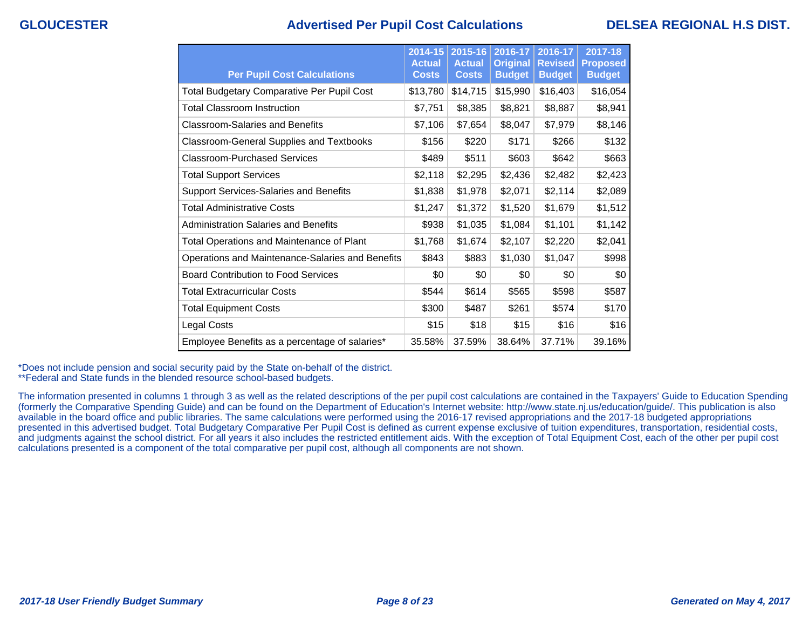### **GLOUCESTER Advertised Per Pupil Cost Calculations DELSEA REGIONAL H.S DIST.**

| <b>Per Pupil Cost Calculations</b>                | $2014 - 15$<br><b>Actual</b><br><b>Costs</b> | $2015 - 16$<br><b>Actual</b><br><b>Costs</b> | 2016-17<br><b>Original</b><br><b>Budget</b> | 2016-17<br><b>Revised</b><br><b>Budget</b> | 2017-18<br><b>Proposed</b><br><b>Budget</b> |
|---------------------------------------------------|----------------------------------------------|----------------------------------------------|---------------------------------------------|--------------------------------------------|---------------------------------------------|
| <b>Total Budgetary Comparative Per Pupil Cost</b> | \$13,780                                     | \$14,715                                     | \$15,990                                    | \$16,403                                   | \$16,054                                    |
| <b>Total Classroom Instruction</b>                | \$7,751                                      | \$8,385                                      | \$8,821                                     | \$8,887                                    | \$8,941                                     |
| <b>Classroom-Salaries and Benefits</b>            | \$7,106                                      | \$7,654                                      | \$8,047                                     | \$7,979                                    | \$8,146                                     |
| <b>Classroom-General Supplies and Textbooks</b>   | \$156                                        | \$220                                        | \$171                                       | \$266                                      | \$132                                       |
| Classroom-Purchased Services                      | \$489                                        | \$511                                        | \$603                                       | \$642                                      | \$663                                       |
| <b>Total Support Services</b>                     | \$2,118                                      | \$2,295                                      | \$2,436                                     | \$2,482                                    | \$2,423                                     |
| <b>Support Services-Salaries and Benefits</b>     | \$1,838                                      | \$1,978                                      | \$2,071                                     | \$2,114                                    | \$2,089                                     |
| <b>Total Administrative Costs</b>                 | \$1,247                                      | \$1,372                                      | \$1,520                                     | \$1,679                                    | \$1,512                                     |
| <b>Administration Salaries and Benefits</b>       | \$938                                        | \$1,035                                      | \$1,084                                     | \$1,101                                    | \$1,142                                     |
| Total Operations and Maintenance of Plant         | \$1,768                                      | \$1,674                                      | \$2,107                                     | \$2,220                                    | \$2,041                                     |
| Operations and Maintenance-Salaries and Benefits  | \$843                                        | \$883                                        | \$1,030                                     | \$1,047                                    | \$998                                       |
| <b>Board Contribution to Food Services</b>        | \$0                                          | \$0                                          | \$0                                         | \$0                                        | \$0                                         |
| <b>Total Extracurricular Costs</b>                | \$544                                        | \$614                                        | \$565                                       | \$598                                      | \$587                                       |
| <b>Total Equipment Costs</b>                      | \$300                                        | \$487                                        | \$261                                       | \$574                                      | \$170                                       |
| Legal Costs                                       | \$15                                         | \$18                                         | \$15                                        | \$16                                       | \$16                                        |
| Employee Benefits as a percentage of salaries*    | 35.58%                                       | 37.59%                                       | 38.64%                                      | 37.71%                                     | 39.16%                                      |

\*Does not include pension and social security paid by the State on-behalf of the district.

\*\*Federal and State funds in the blended resource school-based budgets.

The information presented in columns 1 through 3 as well as the related descriptions of the per pupil cost calculations are contained in the Taxpayers' Guide to Education Spending (formerly the Comparative Spending Guide) and can be found on the Department of Education's Internet website: http://www.state.nj.us/education/guide/. This publication is also available in the board office and public libraries. The same calculations were performed using the 2016-17 revised appropriations and the 2017-18 budgeted appropriations presented in this advertised budget. Total Budgetary Comparative Per Pupil Cost is defined as current expense exclusive of tuition expenditures, transportation, residential costs, and judgments against the school district. For all years it also includes the restricted entitlement aids. With the exception of Total Equipment Cost, each of the other per pupil cost calculations presented is a component of the total comparative per pupil cost, although all components are not shown.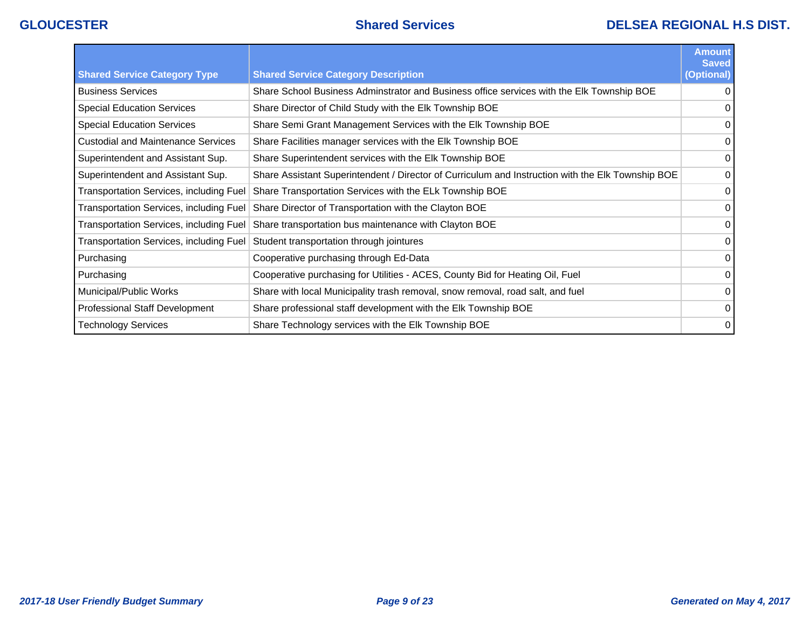## **GLOUCESTER Shared Services DELSEA REGIONAL H.S DIST.**

|                                                |                                                                                                   | <b>Amount</b><br><b>Saved</b> |
|------------------------------------------------|---------------------------------------------------------------------------------------------------|-------------------------------|
| <b>Shared Service Category Type</b>            | <b>Shared Service Category Description</b>                                                        | (Optional)                    |
| <b>Business Services</b>                       | Share School Business Adminstrator and Business office services with the Elk Township BOE         | 0                             |
| <b>Special Education Services</b>              | Share Director of Child Study with the Elk Township BOE                                           |                               |
| <b>Special Education Services</b>              | Share Semi Grant Management Services with the Elk Township BOE                                    | 0                             |
| <b>Custodial and Maintenance Services</b>      | Share Facilities manager services with the Elk Township BOE                                       | $\Omega$                      |
| Superintendent and Assistant Sup.              | Share Superintendent services with the Elk Township BOE                                           | 0                             |
| Superintendent and Assistant Sup.              | Share Assistant Superintendent / Director of Curriculum and Instruction with the Elk Township BOE | 0                             |
| Transportation Services, including Fuel        | Share Transportation Services with the ELk Township BOE                                           | 0                             |
| <b>Transportation Services, including Fuel</b> | Share Director of Transportation with the Clayton BOE                                             | 0                             |
| Transportation Services, including Fuel        | Share transportation bus maintenance with Clayton BOE                                             | $\Omega$                      |
| <b>Transportation Services, including Fuel</b> | Student transportation through jointures                                                          | $\Omega$                      |
| Purchasing                                     | Cooperative purchasing through Ed-Data                                                            | 0                             |
| Purchasing                                     | Cooperative purchasing for Utilities - ACES, County Bid for Heating Oil, Fuel                     | 0                             |
| Municipal/Public Works                         | Share with local Municipality trash removal, snow removal, road salt, and fuel                    | $\Omega$                      |
| <b>Professional Staff Development</b>          | Share professional staff development with the Elk Township BOE                                    | $\Omega$                      |
| Technology Services                            | Share Technology services with the Elk Township BOE                                               | $\mathbf 0$                   |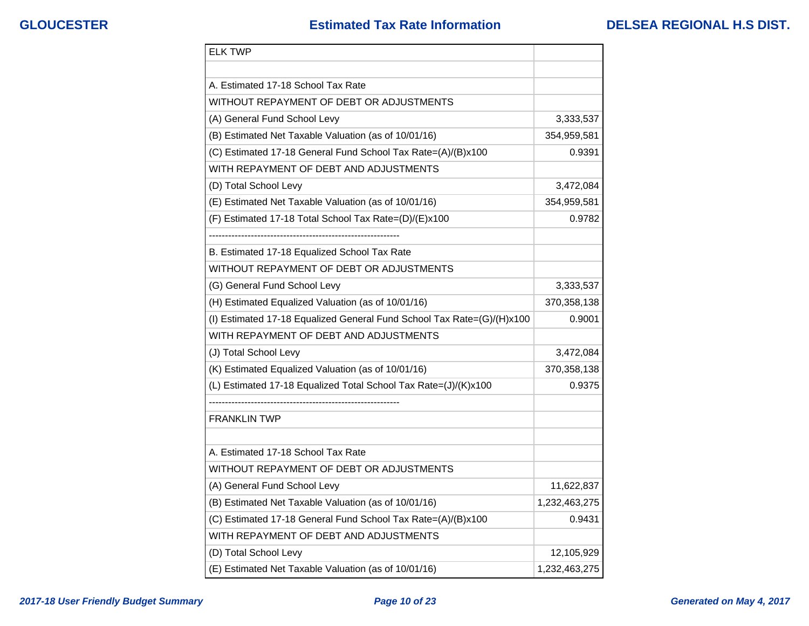| <b>ELK TWP</b>                                                         |               |
|------------------------------------------------------------------------|---------------|
|                                                                        |               |
| A. Estimated 17-18 School Tax Rate                                     |               |
| WITHOUT REPAYMENT OF DEBT OR ADJUSTMENTS                               |               |
| (A) General Fund School Levy                                           | 3,333,537     |
| (B) Estimated Net Taxable Valuation (as of 10/01/16)                   | 354,959,581   |
| (C) Estimated 17-18 General Fund School Tax Rate=(A)/(B)x100           | 0.9391        |
| WITH REPAYMENT OF DEBT AND ADJUSTMENTS                                 |               |
| (D) Total School Levy                                                  | 3,472,084     |
| (E) Estimated Net Taxable Valuation (as of 10/01/16)                   | 354,959,581   |
| (F) Estimated 17-18 Total School Tax Rate=(D)/(E)x100                  | 0.9782        |
|                                                                        |               |
| B. Estimated 17-18 Equalized School Tax Rate                           |               |
| WITHOUT REPAYMENT OF DEBT OR ADJUSTMENTS                               |               |
| (G) General Fund School Levy                                           | 3,333,537     |
| (H) Estimated Equalized Valuation (as of 10/01/16)                     | 370,358,138   |
| (I) Estimated 17-18 Equalized General Fund School Tax Rate=(G)/(H)x100 | 0.9001        |
| WITH REPAYMENT OF DEBT AND ADJUSTMENTS                                 |               |
| (J) Total School Levy                                                  | 3,472,084     |
| (K) Estimated Equalized Valuation (as of 10/01/16)                     | 370,358,138   |
| (L) Estimated 17-18 Equalized Total School Tax Rate=(J)/(K)x100        | 0.9375        |
|                                                                        |               |
| <b>FRANKLIN TWP</b>                                                    |               |
|                                                                        |               |
| A. Estimated 17-18 School Tax Rate                                     |               |
| WITHOUT REPAYMENT OF DEBT OR ADJUSTMENTS                               |               |
| (A) General Fund School Levy                                           | 11,622,837    |
| (B) Estimated Net Taxable Valuation (as of 10/01/16)                   | 1,232,463,275 |
| (C) Estimated 17-18 General Fund School Tax Rate=(A)/(B)x100           | 0.9431        |
| WITH REPAYMENT OF DEBT AND ADJUSTMENTS                                 |               |
| (D) Total School Levy                                                  | 12,105,929    |
| (E) Estimated Net Taxable Valuation (as of 10/01/16)                   | 1,232,463,275 |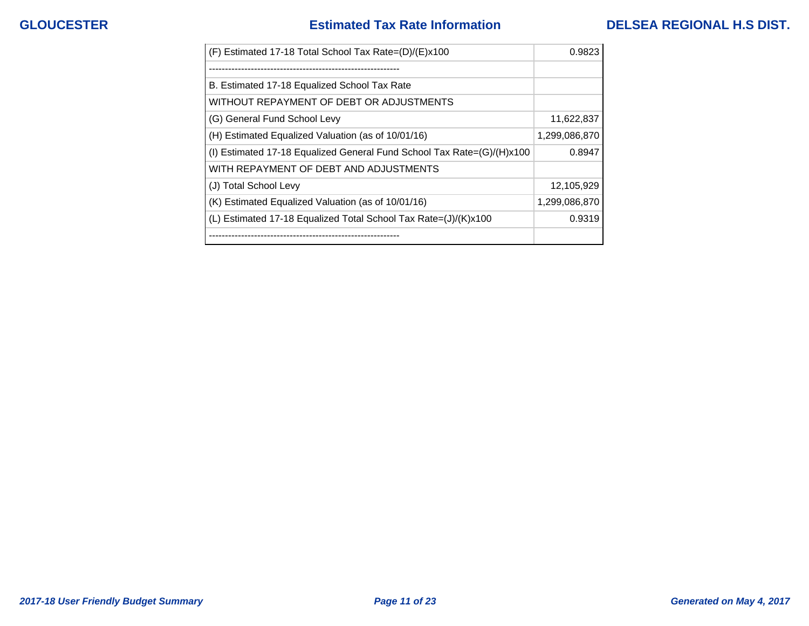## **GLOUCESTER Estimated Tax Rate Information DELSEA REGIONAL H.S DIST.**

| (F) Estimated 17-18 Total School Tax Rate=(D)/(E)x100                  | 0.9823        |
|------------------------------------------------------------------------|---------------|
|                                                                        |               |
| B. Estimated 17-18 Equalized School Tax Rate                           |               |
| WITHOUT REPAYMENT OF DEBT OR ADJUSTMENTS                               |               |
| (G) General Fund School Levy                                           | 11,622,837    |
| (H) Estimated Equalized Valuation (as of 10/01/16)                     | 1,299,086,870 |
| (I) Estimated 17-18 Equalized General Fund School Tax Rate=(G)/(H)x100 | 0.8947        |
| WITH REPAYMENT OF DEBT AND ADJUSTMENTS                                 |               |
| (J) Total School Levy                                                  | 12,105,929    |
| (K) Estimated Equalized Valuation (as of 10/01/16)                     | 1,299,086,870 |
| (L) Estimated 17-18 Equalized Total School Tax Rate=(J)/(K)x100        | 0.9319        |
| ---------------------------                                            |               |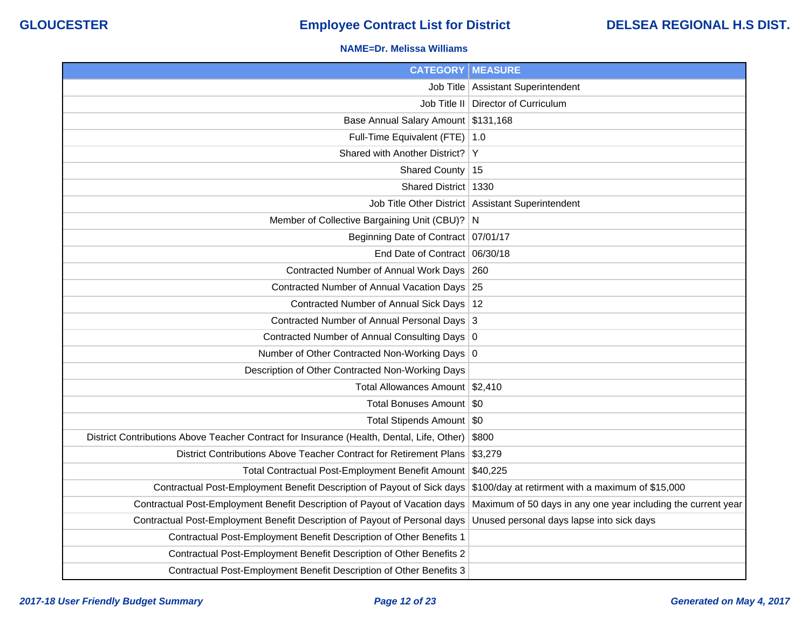### **NAME=Dr. Melissa Williams**

| <b>CATEGORY   MEASURE</b>                                                                 |                                                               |
|-------------------------------------------------------------------------------------------|---------------------------------------------------------------|
|                                                                                           | Job Title   Assistant Superintendent                          |
| Job Title II                                                                              | Director of Curriculum                                        |
| Base Annual Salary Amount \$131,168                                                       |                                                               |
| Full-Time Equivalent (FTE)   1.0                                                          |                                                               |
| Shared with Another District?                                                             | ΙY                                                            |
| Shared County                                                                             | 15                                                            |
| Shared District   1330                                                                    |                                                               |
|                                                                                           | Job Title Other District Assistant Superintendent             |
| Member of Collective Bargaining Unit (CBU)? N                                             |                                                               |
| Beginning Date of Contract 07/01/17                                                       |                                                               |
| End Date of Contract 06/30/18                                                             |                                                               |
| Contracted Number of Annual Work Days 260                                                 |                                                               |
| Contracted Number of Annual Vacation Days 25                                              |                                                               |
| Contracted Number of Annual Sick Days   12                                                |                                                               |
| Contracted Number of Annual Personal Days 3                                               |                                                               |
| Contracted Number of Annual Consulting Days 0                                             |                                                               |
| Number of Other Contracted Non-Working Days 0                                             |                                                               |
| Description of Other Contracted Non-Working Days                                          |                                                               |
| Total Allowances Amount   \$2,410                                                         |                                                               |
| Total Bonuses Amount   \$0                                                                |                                                               |
| Total Stipends Amount   \$0                                                               |                                                               |
| District Contributions Above Teacher Contract for Insurance (Health, Dental, Life, Other) | \$800                                                         |
| District Contributions Above Teacher Contract for Retirement Plans                        | \$3,279                                                       |
| Total Contractual Post-Employment Benefit Amount \$40,225                                 |                                                               |
| Contractual Post-Employment Benefit Description of Payout of Sick days                    | \$100/day at retirment with a maximum of \$15,000             |
| Contractual Post-Employment Benefit Description of Payout of Vacation days                | Maximum of 50 days in any one year including the current year |
| Contractual Post-Employment Benefit Description of Payout of Personal days                | Unused personal days lapse into sick days                     |
| Contractual Post-Employment Benefit Description of Other Benefits 1                       |                                                               |
| Contractual Post-Employment Benefit Description of Other Benefits 2                       |                                                               |
| Contractual Post-Employment Benefit Description of Other Benefits 3                       |                                                               |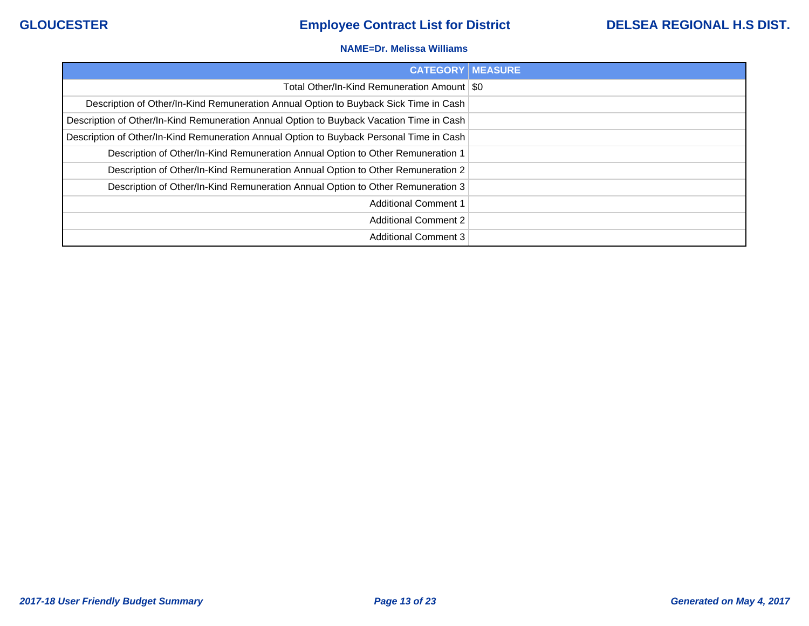### **NAME=Dr. Melissa Williams**

| <b>CATEGORY   MEASURE</b>                                                                |  |
|------------------------------------------------------------------------------------------|--|
| Total Other/In-Kind Remuneration Amount   \$0                                            |  |
| Description of Other/In-Kind Remuneration Annual Option to Buyback Sick Time in Cash     |  |
| Description of Other/In-Kind Remuneration Annual Option to Buyback Vacation Time in Cash |  |
| Description of Other/In-Kind Remuneration Annual Option to Buyback Personal Time in Cash |  |
| Description of Other/In-Kind Remuneration Annual Option to Other Remuneration 1          |  |
| Description of Other/In-Kind Remuneration Annual Option to Other Remuneration 2          |  |
| Description of Other/In-Kind Remuneration Annual Option to Other Remuneration 3          |  |
| <b>Additional Comment 1</b>                                                              |  |
| <b>Additional Comment 2</b>                                                              |  |
| <b>Additional Comment 3</b>                                                              |  |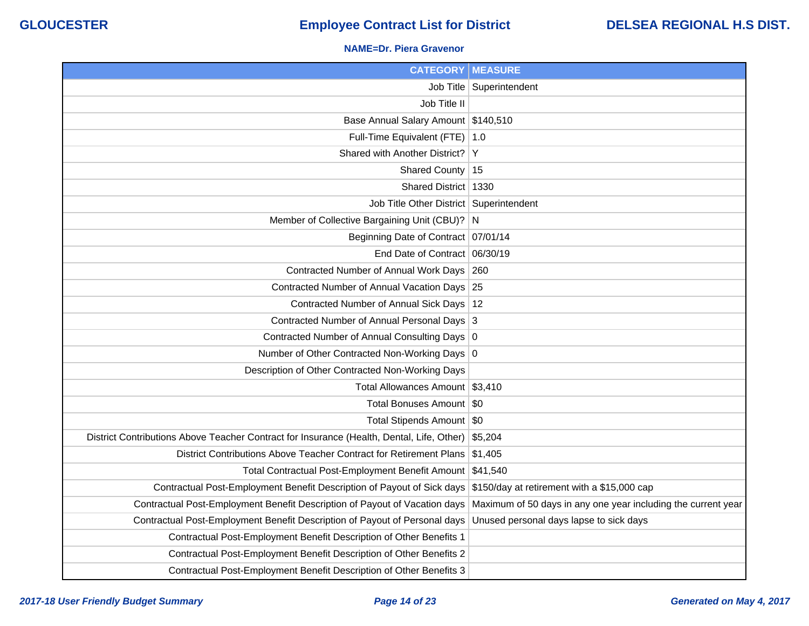### **NAME=Dr. Piera Gravenor**

| <b>CATEGORY   MEASURE</b>                                                                 |                                                               |
|-------------------------------------------------------------------------------------------|---------------------------------------------------------------|
|                                                                                           | Job Title   Superintendent                                    |
| Job Title II                                                                              |                                                               |
| Base Annual Salary Amount \$140,510                                                       |                                                               |
| Full-Time Equivalent (FTE) 1.0                                                            |                                                               |
| Shared with Another District? Y                                                           |                                                               |
| Shared County   15                                                                        |                                                               |
| Shared District   1330                                                                    |                                                               |
| Job Title Other District   Superintendent                                                 |                                                               |
| Member of Collective Bargaining Unit (CBU)? N                                             |                                                               |
| Beginning Date of Contract 07/01/14                                                       |                                                               |
| End Date of Contract 06/30/19                                                             |                                                               |
| Contracted Number of Annual Work Days   260                                               |                                                               |
| Contracted Number of Annual Vacation Days 25                                              |                                                               |
| Contracted Number of Annual Sick Days   12                                                |                                                               |
| Contracted Number of Annual Personal Days 3                                               |                                                               |
| Contracted Number of Annual Consulting Days 0                                             |                                                               |
| Number of Other Contracted Non-Working Days 0                                             |                                                               |
| Description of Other Contracted Non-Working Days                                          |                                                               |
| Total Allowances Amount \$3,410                                                           |                                                               |
| Total Bonuses Amount   \$0                                                                |                                                               |
| Total Stipends Amount   \$0                                                               |                                                               |
| District Contributions Above Teacher Contract for Insurance (Health, Dental, Life, Other) | \$5,204                                                       |
| District Contributions Above Teacher Contract for Retirement Plans                        | $\frac{1}{31,405}$                                            |
| Total Contractual Post-Employment Benefit Amount \$41,540                                 |                                                               |
| Contractual Post-Employment Benefit Description of Payout of Sick days                    | \$150/day at retirement with a \$15,000 cap                   |
| Contractual Post-Employment Benefit Description of Payout of Vacation days                | Maximum of 50 days in any one year including the current year |
| Contractual Post-Employment Benefit Description of Payout of Personal days                | Unused personal days lapse to sick days                       |
| Contractual Post-Employment Benefit Description of Other Benefits 1                       |                                                               |
| Contractual Post-Employment Benefit Description of Other Benefits 2                       |                                                               |
| Contractual Post-Employment Benefit Description of Other Benefits 3                       |                                                               |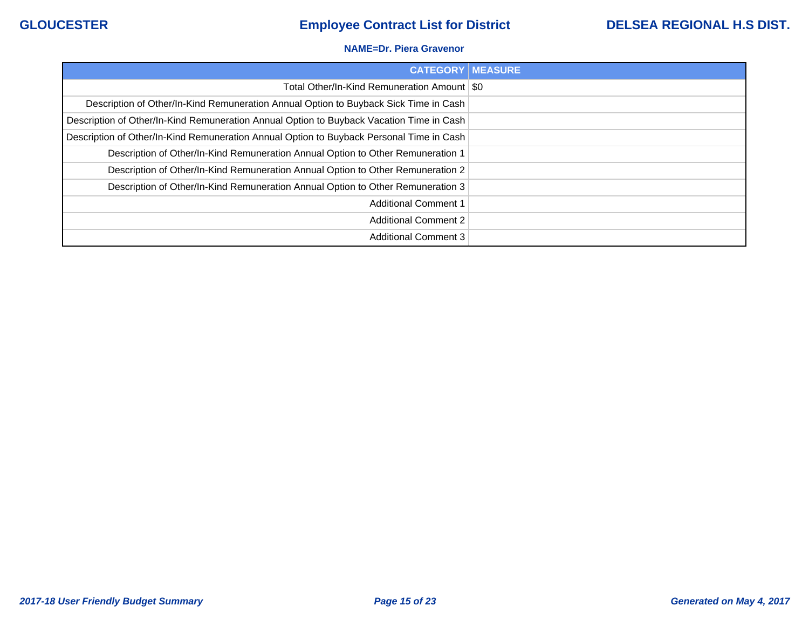### **NAME=Dr. Piera Gravenor**

| <b>CATEGORY   MEASURE</b>                                                                |  |
|------------------------------------------------------------------------------------------|--|
| Total Other/In-Kind Remuneration Amount   \$0                                            |  |
| Description of Other/In-Kind Remuneration Annual Option to Buyback Sick Time in Cash     |  |
| Description of Other/In-Kind Remuneration Annual Option to Buyback Vacation Time in Cash |  |
| Description of Other/In-Kind Remuneration Annual Option to Buyback Personal Time in Cash |  |
| Description of Other/In-Kind Remuneration Annual Option to Other Remuneration 1          |  |
| Description of Other/In-Kind Remuneration Annual Option to Other Remuneration 2          |  |
| Description of Other/In-Kind Remuneration Annual Option to Other Remuneration 3          |  |
| <b>Additional Comment 1</b>                                                              |  |
| <b>Additional Comment 2</b>                                                              |  |
| <b>Additional Comment 3</b>                                                              |  |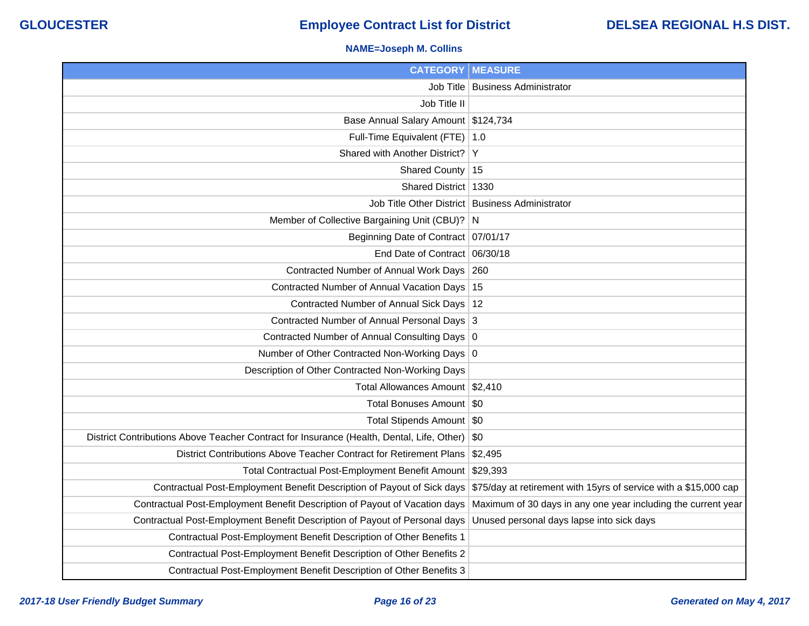### **NAME=Joseph M. Collins**

| <b>CATEGORY   MEASURE</b>                                                                 |                                                                  |
|-------------------------------------------------------------------------------------------|------------------------------------------------------------------|
| Job Title                                                                                 | <b>Business Administrator</b>                                    |
| Job Title II                                                                              |                                                                  |
| Base Annual Salary Amount \$124,734                                                       |                                                                  |
| Full-Time Equivalent (FTE) 1.0                                                            |                                                                  |
| Shared with Another District?                                                             | Y                                                                |
| Shared County                                                                             | 15                                                               |
| Shared District   1330                                                                    |                                                                  |
|                                                                                           | Job Title Other District Business Administrator                  |
| Member of Collective Bargaining Unit (CBU)? N                                             |                                                                  |
| Beginning Date of Contract 07/01/17                                                       |                                                                  |
| End Date of Contract 06/30/18                                                             |                                                                  |
| Contracted Number of Annual Work Days                                                     | 260                                                              |
| Contracted Number of Annual Vacation Days 15                                              |                                                                  |
| Contracted Number of Annual Sick Days   12                                                |                                                                  |
| Contracted Number of Annual Personal Days 3                                               |                                                                  |
| Contracted Number of Annual Consulting Days 0                                             |                                                                  |
| Number of Other Contracted Non-Working Days 0                                             |                                                                  |
| Description of Other Contracted Non-Working Days                                          |                                                                  |
| Total Allowances Amount   \$2,410                                                         |                                                                  |
| Total Bonuses Amount   \$0                                                                |                                                                  |
| Total Stipends Amount   \$0                                                               |                                                                  |
| District Contributions Above Teacher Contract for Insurance (Health, Dental, Life, Other) | \$0                                                              |
| District Contributions Above Teacher Contract for Retirement Plans                        | \$2,495                                                          |
| Total Contractual Post-Employment Benefit Amount                                          | \$29,393                                                         |
| Contractual Post-Employment Benefit Description of Payout of Sick days                    | \$75/day at retirement with 15yrs of service with a \$15,000 cap |
| Contractual Post-Employment Benefit Description of Payout of Vacation days                | Maximum of 30 days in any one year including the current year    |
| Contractual Post-Employment Benefit Description of Payout of Personal days                | Unused personal days lapse into sick days                        |
| Contractual Post-Employment Benefit Description of Other Benefits 1                       |                                                                  |
| Contractual Post-Employment Benefit Description of Other Benefits 2                       |                                                                  |
| Contractual Post-Employment Benefit Description of Other Benefits 3                       |                                                                  |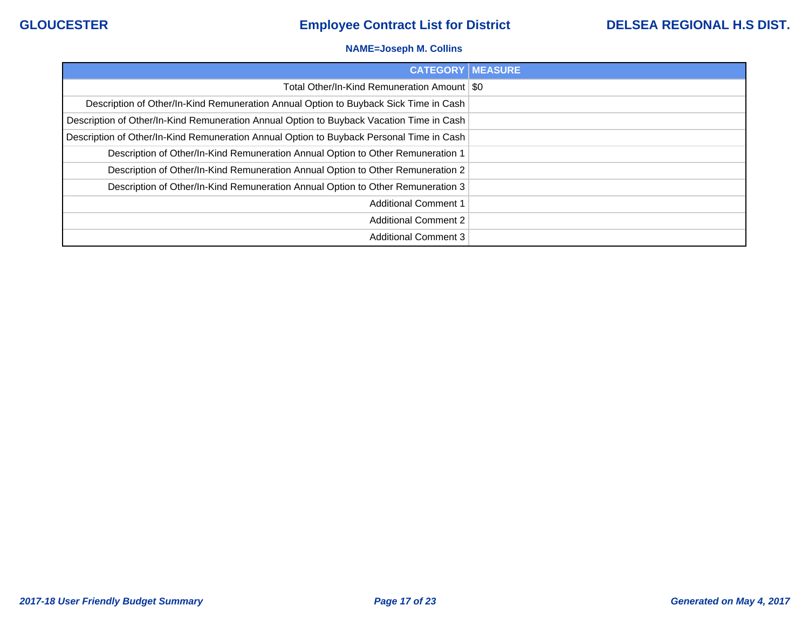### **NAME=Joseph M. Collins**

| <b>CATEGORY   MEASURE</b>                                                                |  |
|------------------------------------------------------------------------------------------|--|
| Total Other/In-Kind Remuneration Amount   \$0                                            |  |
| Description of Other/In-Kind Remuneration Annual Option to Buyback Sick Time in Cash     |  |
| Description of Other/In-Kind Remuneration Annual Option to Buyback Vacation Time in Cash |  |
| Description of Other/In-Kind Remuneration Annual Option to Buyback Personal Time in Cash |  |
| Description of Other/In-Kind Remuneration Annual Option to Other Remuneration 1          |  |
| Description of Other/In-Kind Remuneration Annual Option to Other Remuneration 2          |  |
| Description of Other/In-Kind Remuneration Annual Option to Other Remuneration 3          |  |
| <b>Additional Comment 1</b>                                                              |  |
| <b>Additional Comment 2</b>                                                              |  |
| <b>Additional Comment 3</b>                                                              |  |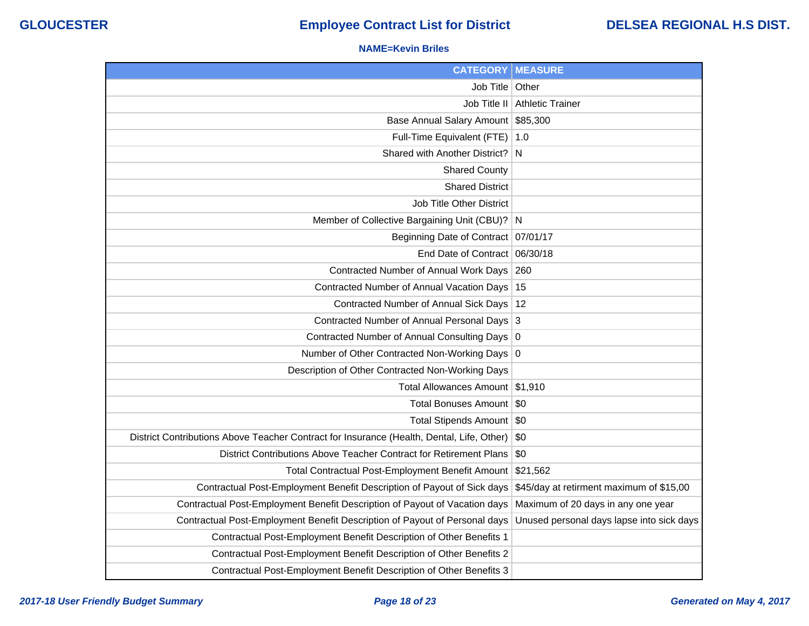### **NAME=Kevin Briles**

| <b>CATEGORY</b>                                                                           | <b>MEASURE</b>                            |
|-------------------------------------------------------------------------------------------|-------------------------------------------|
| Job Title   Other                                                                         |                                           |
| Job Title II                                                                              | <b>Athletic Trainer</b>                   |
| <b>Base Annual Salary Amount</b>                                                          | \$85,300                                  |
| Full-Time Equivalent (FTE)                                                                | $\vert$ 1.0                               |
| Shared with Another District?                                                             | N                                         |
| <b>Shared County</b>                                                                      |                                           |
| <b>Shared District</b>                                                                    |                                           |
| Job Title Other District                                                                  |                                           |
| Member of Collective Bargaining Unit (CBU)?                                               | N                                         |
| <b>Beginning Date of Contract</b>                                                         | 07/01/17                                  |
| End Date of Contract 06/30/18                                                             |                                           |
| Contracted Number of Annual Work Days                                                     | 260                                       |
| Contracted Number of Annual Vacation Days                                                 | 15                                        |
| Contracted Number of Annual Sick Days                                                     | 12                                        |
| Contracted Number of Annual Personal Days                                                 | 3                                         |
| Contracted Number of Annual Consulting Days                                               | $\overline{0}$                            |
| Number of Other Contracted Non-Working Days                                               | $\overline{0}$                            |
| Description of Other Contracted Non-Working Days                                          |                                           |
| <b>Total Allowances Amount</b>                                                            | \$1,910                                   |
| <b>Total Bonuses Amount</b>                                                               | \$0                                       |
| <b>Total Stipends Amount</b>                                                              | \$0                                       |
| District Contributions Above Teacher Contract for Insurance (Health, Dental, Life, Other) | \$0                                       |
| District Contributions Above Teacher Contract for Retirement Plans                        | \$0                                       |
| Total Contractual Post-Employment Benefit Amount                                          | \$21,562                                  |
| Contractual Post-Employment Benefit Description of Payout of Sick days                    | \$45/day at retirment maximum of \$15,00  |
| Contractual Post-Employment Benefit Description of Payout of Vacation days                | Maximum of 20 days in any one year        |
| Contractual Post-Employment Benefit Description of Payout of Personal days                | Unused personal days lapse into sick days |
| Contractual Post-Employment Benefit Description of Other Benefits 1                       |                                           |
| Contractual Post-Employment Benefit Description of Other Benefits 2                       |                                           |
| Contractual Post-Employment Benefit Description of Other Benefits 3                       |                                           |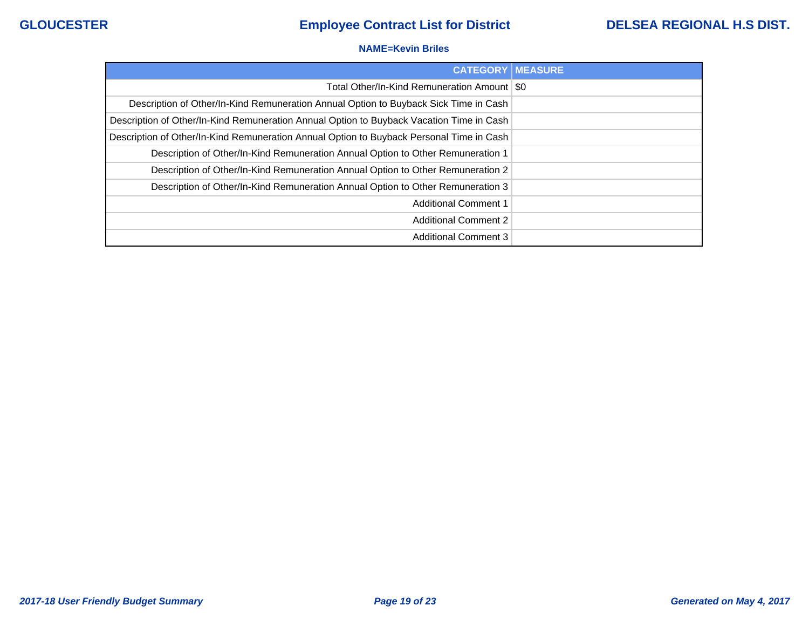### **NAME=Kevin Briles**

| <b>CATEGORY</b>                                                                          | <b>MEASURE</b> |
|------------------------------------------------------------------------------------------|----------------|
| Total Other/In-Kind Remuneration Amount   \$0                                            |                |
| Description of Other/In-Kind Remuneration Annual Option to Buyback Sick Time in Cash     |                |
| Description of Other/In-Kind Remuneration Annual Option to Buyback Vacation Time in Cash |                |
| Description of Other/In-Kind Remuneration Annual Option to Buyback Personal Time in Cash |                |
| Description of Other/In-Kind Remuneration Annual Option to Other Remuneration 1          |                |
| Description of Other/In-Kind Remuneration Annual Option to Other Remuneration 2          |                |
| Description of Other/In-Kind Remuneration Annual Option to Other Remuneration 3          |                |
| <b>Additional Comment 1</b>                                                              |                |
| <b>Additional Comment 2</b>                                                              |                |
| <b>Additional Comment 3</b>                                                              |                |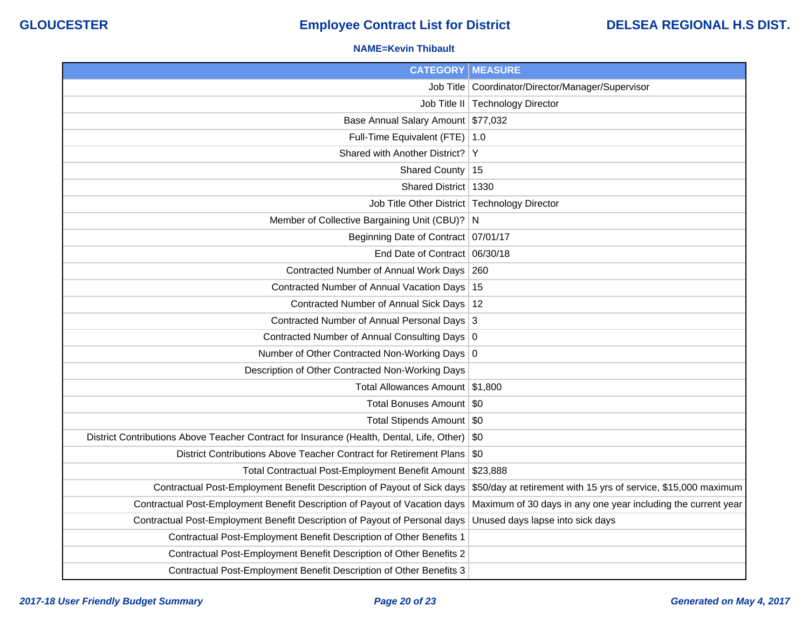### **NAME=Kevin Thibault**

| <b>CATEGORY   MEASURE</b>                                                                     |                                                                 |
|-----------------------------------------------------------------------------------------------|-----------------------------------------------------------------|
|                                                                                               | Job Title   Coordinator/Director/Manager/Supervisor             |
|                                                                                               | Job Title II   Technology Director                              |
| Base Annual Salary Amount \$77,032                                                            |                                                                 |
| Full-Time Equivalent (FTE) 1.0                                                                |                                                                 |
| Shared with Another District? Y                                                               |                                                                 |
| Shared County   15                                                                            |                                                                 |
| Shared District   1330                                                                        |                                                                 |
| Job Title Other District   Technology Director                                                |                                                                 |
| Member of Collective Bargaining Unit (CBU)? N                                                 |                                                                 |
| Beginning Date of Contract 07/01/17                                                           |                                                                 |
| End Date of Contract 06/30/18                                                                 |                                                                 |
| Contracted Number of Annual Work Days 260                                                     |                                                                 |
| Contracted Number of Annual Vacation Days 15                                                  |                                                                 |
| Contracted Number of Annual Sick Days   12                                                    |                                                                 |
| Contracted Number of Annual Personal Days 3                                                   |                                                                 |
| Contracted Number of Annual Consulting Days 0                                                 |                                                                 |
| Number of Other Contracted Non-Working Days 0                                                 |                                                                 |
| Description of Other Contracted Non-Working Days                                              |                                                                 |
| Total Allowances Amount   \$1,800                                                             |                                                                 |
| Total Bonuses Amount   \$0                                                                    |                                                                 |
| Total Stipends Amount   \$0                                                                   |                                                                 |
| District Contributions Above Teacher Contract for Insurance (Health, Dental, Life, Other) \$0 |                                                                 |
| District Contributions Above Teacher Contract for Retirement Plans \$0                        |                                                                 |
| Total Contractual Post-Employment Benefit Amount \$23,888                                     |                                                                 |
| Contractual Post-Employment Benefit Description of Payout of Sick days                        | \$50/day at retirement with 15 yrs of service, \$15,000 maximum |
| Contractual Post-Employment Benefit Description of Payout of Vacation days                    | Maximum of 30 days in any one year including the current year   |
| Contractual Post-Employment Benefit Description of Payout of Personal days                    | Unused days lapse into sick days                                |
| Contractual Post-Employment Benefit Description of Other Benefits 1                           |                                                                 |
| Contractual Post-Employment Benefit Description of Other Benefits 2                           |                                                                 |
| Contractual Post-Employment Benefit Description of Other Benefits 3                           |                                                                 |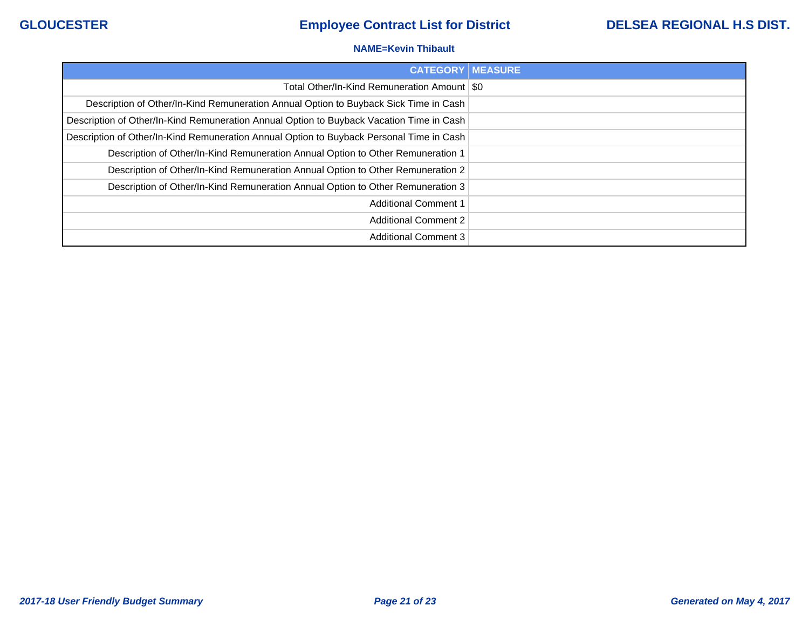### **NAME=Kevin Thibault**

| <b>CATEGORY</b>                                                                          | <b>IMEASURE</b> |
|------------------------------------------------------------------------------------------|-----------------|
| Total Other/In-Kind Remuneration Amount   \$0                                            |                 |
| Description of Other/In-Kind Remuneration Annual Option to Buyback Sick Time in Cash     |                 |
| Description of Other/In-Kind Remuneration Annual Option to Buyback Vacation Time in Cash |                 |
| Description of Other/In-Kind Remuneration Annual Option to Buyback Personal Time in Cash |                 |
| Description of Other/In-Kind Remuneration Annual Option to Other Remuneration 1          |                 |
| Description of Other/In-Kind Remuneration Annual Option to Other Remuneration 2          |                 |
| Description of Other/In-Kind Remuneration Annual Option to Other Remuneration 3          |                 |
| <b>Additional Comment 1</b>                                                              |                 |
| <b>Additional Comment 2</b>                                                              |                 |
| <b>Additional Comment 3</b>                                                              |                 |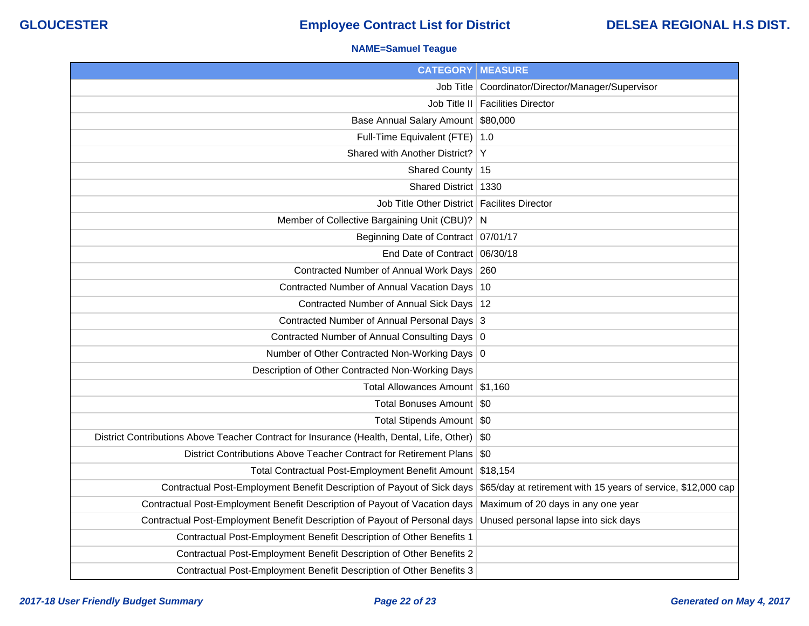### **NAME=Samuel Teague**

| <b>CATEGORY   MEASURE</b>                                                                 |                                                               |
|-------------------------------------------------------------------------------------------|---------------------------------------------------------------|
|                                                                                           | Job Title   Coordinator/Director/Manager/Supervisor           |
|                                                                                           | Job Title II   Facilities Director                            |
| Base Annual Salary Amount \$80,000                                                        |                                                               |
| Full-Time Equivalent (FTE) 1.0                                                            |                                                               |
| Shared with Another District?                                                             | Y                                                             |
| Shared County   15                                                                        |                                                               |
| Shared District   1330                                                                    |                                                               |
| Job Title Other District   Facilites Director                                             |                                                               |
| Member of Collective Bargaining Unit (CBU)? N                                             |                                                               |
| Beginning Date of Contract 07/01/17                                                       |                                                               |
| End Date of Contract 06/30/18                                                             |                                                               |
| Contracted Number of Annual Work Days 260                                                 |                                                               |
| Contracted Number of Annual Vacation Days 10                                              |                                                               |
| Contracted Number of Annual Sick Days   12                                                |                                                               |
| Contracted Number of Annual Personal Days 3                                               |                                                               |
| Contracted Number of Annual Consulting Days 0                                             |                                                               |
| Number of Other Contracted Non-Working Days 0                                             |                                                               |
| Description of Other Contracted Non-Working Days                                          |                                                               |
| Total Allowances Amount \$1,160                                                           |                                                               |
| Total Bonuses Amount   \$0                                                                |                                                               |
| Total Stipends Amount   \$0                                                               |                                                               |
| District Contributions Above Teacher Contract for Insurance (Health, Dental, Life, Other) | \$0                                                           |
| District Contributions Above Teacher Contract for Retirement Plans                        | \$0                                                           |
| Total Contractual Post-Employment Benefit Amount                                          | \$18,154                                                      |
| Contractual Post-Employment Benefit Description of Payout of Sick days                    | \$65/day at retirement with 15 years of service, \$12,000 cap |
| Contractual Post-Employment Benefit Description of Payout of Vacation days                | Maximum of 20 days in any one year                            |
| Contractual Post-Employment Benefit Description of Payout of Personal days                | Unused personal lapse into sick days                          |
| Contractual Post-Employment Benefit Description of Other Benefits 1                       |                                                               |
| Contractual Post-Employment Benefit Description of Other Benefits 2                       |                                                               |
| Contractual Post-Employment Benefit Description of Other Benefits 3                       |                                                               |